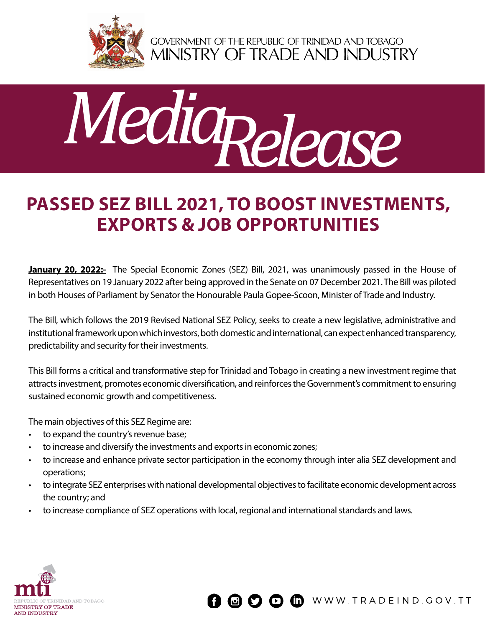

GOVERNMENT OF THE REPUBLIC OF TRINIDAD AND TOBAGO<br>MINISTRY OF TRADE AND INDUSTRY



## **Passed SEZ Bill 2021, TO BOOST INVESTMENTS, EXPORTS & JOB OPPORTUNITIES**

**January 20, 2022:-** The Special Economic Zones (SEZ) Bill, 2021, was unanimously passed in the House of Representatives on 19 January 2022 after being approved in the Senate on 07 December 2021. The Bill was piloted in both Houses of Parliament by Senator the Honourable Paula Gopee-Scoon, Minister of Trade and Industry.

The Bill, which follows the 2019 Revised National SEZ Policy, seeks to create a new legislative, administrative and institutional framework upon which investors, both domestic and international, can expect enhanced transparency, predictability and security for their investments.

This Bill forms a critical and transformative step for Trinidad and Tobago in creating a new investment regime that attracts investment, promotes economic diversification, and reinforces the Government's commitment to ensuring sustained economic growth and competitiveness.

The main objectives of this SEZ Regime are:

- to expand the country's revenue base;
- to increase and diversify the investments and exports in economic zones;
- to increase and enhance private sector participation in the economy through inter alia SEZ development and operations;
- to integrate SEZ enterprises with national developmental objectives to facilitate economic development across the country; and
- to increase compliance of SEZ operations with local, regional and international standards and laws.



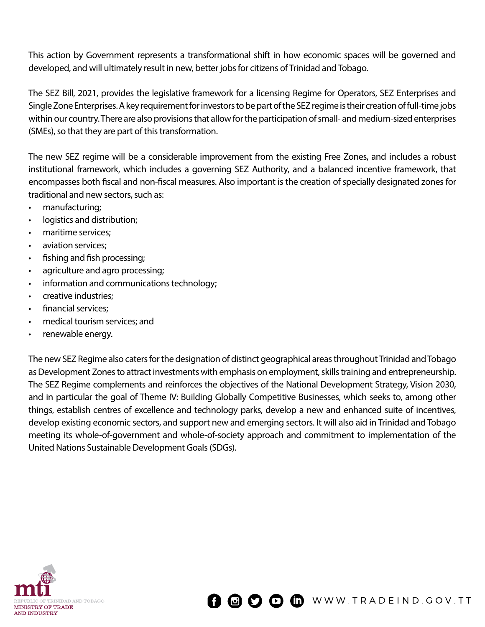This action by Government represents a transformational shift in how economic spaces will be governed and developed, and will ultimately result in new, better jobs for citizens of Trinidad and Tobago.

The SEZ Bill, 2021, provides the legislative framework for a licensing Regime for Operators, SEZ Enterprises and Single Zone Enterprises. A key requirement for investors to be part of the SEZ regime is their creation of full-time jobs within our country. There are also provisions that allow for the participation of small- and medium-sized enterprises (SMEs), so that they are part of this transformation.

The new SEZ regime will be a considerable improvement from the existing Free Zones, and includes a robust institutional framework, which includes a governing SEZ Authority, and a balanced incentive framework, that encompasses both fiscal and non-fiscal measures. Also important is the creation of specially designated zones for traditional and new sectors, such as:

- manufacturing;
- logistics and distribution;
- maritime services;
- aviation services;
- fishing and fish processing;
- agriculture and agro processing;
- information and communications technology;
- creative industries;
- financial services;
- medical tourism services; and
- renewable energy.

The new SEZ Regime also caters for the designation of distinct geographical areas throughout Trinidad and Tobago as Development Zones to attract investments with emphasis on employment, skills training and entrepreneurship. The SEZ Regime complements and reinforces the objectives of the National Development Strategy, Vision 2030, and in particular the goal of Theme IV: Building Globally Competitive Businesses, which seeks to, among other things, establish centres of excellence and technology parks, develop a new and enhanced suite of incentives, develop existing economic sectors, and support new and emerging sectors. It will also aid in Trinidad and Tobago meeting its whole-of-government and whole-of-society approach and commitment to implementation of the United Nations Sustainable Development Goals (SDGs).